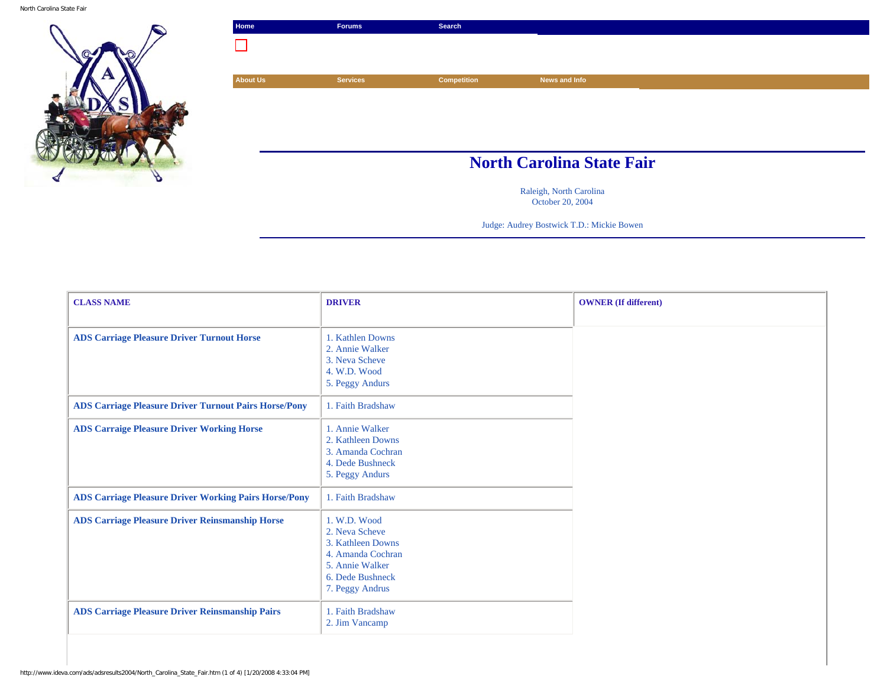North Carolina State Fair



| Home            | <b>Forums</b>   | Search             |                                  |  |
|-----------------|-----------------|--------------------|----------------------------------|--|
|                 |                 |                    |                                  |  |
|                 |                 |                    |                                  |  |
| <b>About Us</b> | <b>Services</b> | <b>Competition</b> | News and Info                    |  |
|                 |                 |                    |                                  |  |
|                 |                 |                    |                                  |  |
|                 |                 |                    |                                  |  |
|                 |                 |                    |                                  |  |
|                 |                 |                    |                                  |  |
|                 |                 |                    |                                  |  |
|                 |                 |                    | <b>North Carolina State Fair</b> |  |
|                 |                 |                    | Raleigh, North Carolina          |  |

October 20, 2004

Judge: Audrey Bostwick T.D.: Mickie Bowen

| <b>CLASS NAME</b>                                            | <b>DRIVER</b>                                                                                                                      | <b>OWNER</b> (If different) |
|--------------------------------------------------------------|------------------------------------------------------------------------------------------------------------------------------------|-----------------------------|
|                                                              |                                                                                                                                    |                             |
| <b>ADS Carriage Pleasure Driver Turnout Horse</b>            | 1. Kathlen Downs<br>2. Annie Walker<br>3. Neva Scheve<br>4. W.D. Wood<br>5. Peggy Andurs                                           |                             |
| <b>ADS Carriage Pleasure Driver Turnout Pairs Horse/Pony</b> | 1. Faith Bradshaw                                                                                                                  |                             |
| <b>ADS Carraige Pleasure Driver Working Horse</b>            | 1. Annie Walker<br>2. Kathleen Downs<br>3. Amanda Cochran<br>4. Dede Bushneck<br>5. Peggy Andurs                                   |                             |
| <b>ADS Carriage Pleasure Driver Working Pairs Horse/Pony</b> | 1. Faith Bradshaw                                                                                                                  |                             |
| <b>ADS Carriage Pleasure Driver Reinsmanship Horse</b>       | 1. W.D. Wood<br>2. Neva Scheve<br>3. Kathleen Downs<br>4. Amanda Cochran<br>5. Annie Walker<br>6. Dede Bushneck<br>7. Peggy Andrus |                             |
| <b>ADS Carriage Pleasure Driver Reinsmanship Pairs</b>       | 1. Faith Bradshaw<br>2. Jim Vancamp                                                                                                |                             |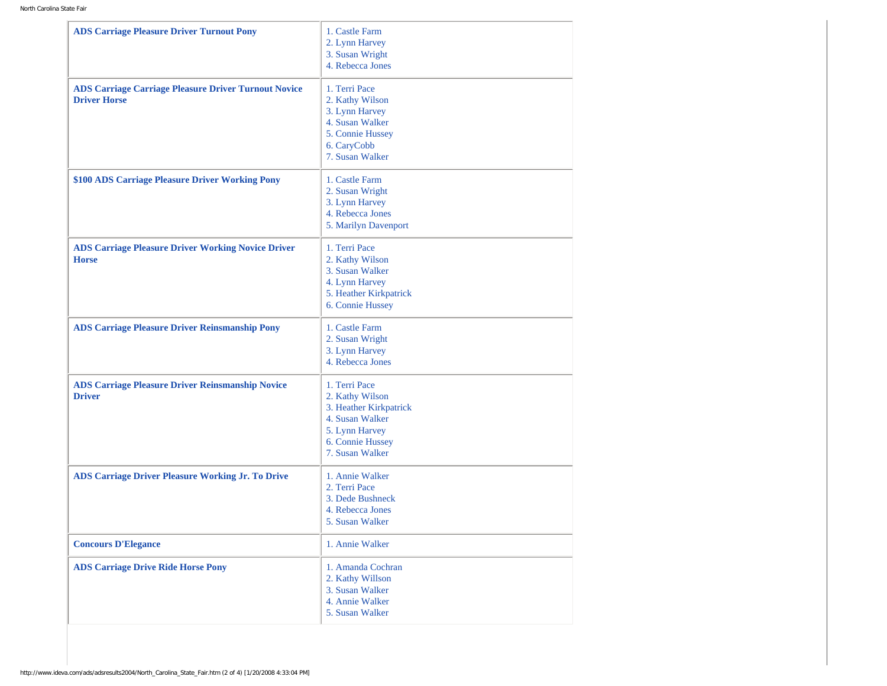| <b>ADS Carriage Pleasure Driver Turnout Pony</b>                                   | 1. Castle Farm<br>2. Lynn Harvey<br>3. Susan Wright<br>4. Rebecca Jones                                                                |
|------------------------------------------------------------------------------------|----------------------------------------------------------------------------------------------------------------------------------------|
| <b>ADS Carriage Carriage Pleasure Driver Turnout Novice</b><br><b>Driver Horse</b> | 1. Terri Pace<br>2. Kathy Wilson<br>3. Lynn Harvey<br>4. Susan Walker<br>5. Connie Hussey<br>6. CaryCobb<br>7. Susan Walker            |
| \$100 ADS Carriage Pleasure Driver Working Pony                                    | 1. Castle Farm<br>2. Susan Wright<br>3. Lynn Harvey<br>4. Rebecca Jones<br>5. Marilyn Davenport                                        |
| <b>ADS Carriage Pleasure Driver Working Novice Driver</b><br><b>Horse</b>          | 1. Terri Pace<br>2. Kathy Wilson<br>3. Susan Walker<br>4. Lynn Harvey<br>5. Heather Kirkpatrick<br>6. Connie Hussey                    |
| <b>ADS Carriage Pleasure Driver Reinsmanship Pony</b>                              | 1. Castle Farm<br>2. Susan Wright<br>3. Lynn Harvey<br>4. Rebecca Jones                                                                |
| <b>ADS Carriage Pleasure Driver Reinsmanship Novice</b><br><b>Driver</b>           | 1. Terri Pace<br>2. Kathy Wilson<br>3. Heather Kirkpatrick<br>4. Susan Walker<br>5. Lynn Harvey<br>6. Connie Hussey<br>7. Susan Walker |
| <b>ADS Carriage Driver Pleasure Working Jr. To Drive</b>                           | 1. Annie Walker<br>2. Terri Pace<br>3. Dede Bushneck<br>4. Rebecca Jones<br>5. Susan Walker                                            |
| <b>Concours D'Elegance</b>                                                         | 1. Annie Walker                                                                                                                        |
| <b>ADS Carriage Drive Ride Horse Pony</b>                                          | 1. Amanda Cochran<br>2. Kathy Willson<br>3. Susan Walker<br>4. Annie Walker<br>5. Susan Walker                                         |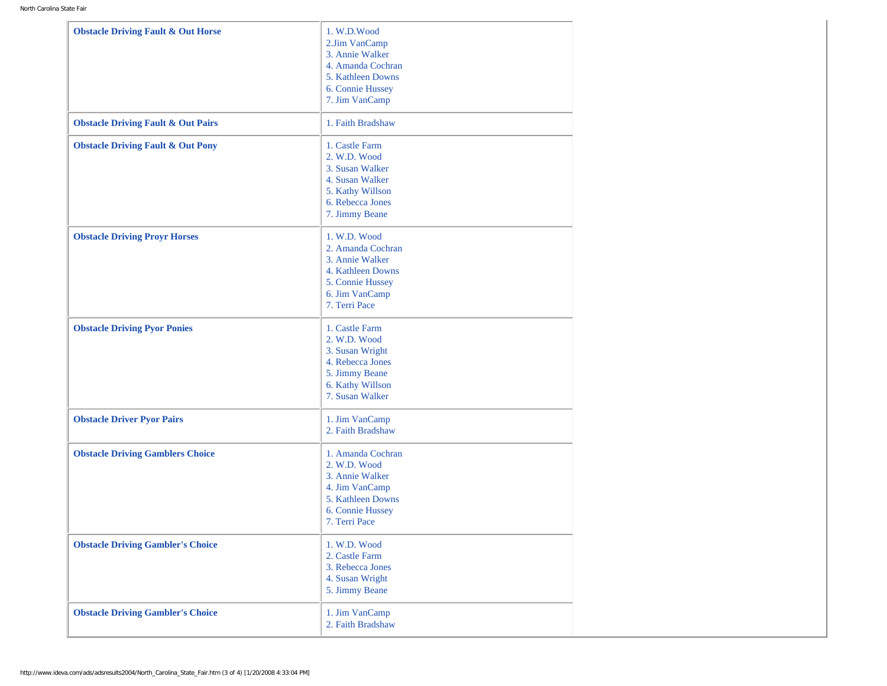| <b>Obstacle Driving Fault &amp; Out Horse</b> | 1. W.D.Wood<br>2.Jim VanCamp<br>3. Annie Walker<br>4. Amanda Cochran<br>5. Kathleen Downs<br>6. Connie Hussey<br>7. Jim VanCamp  |
|-----------------------------------------------|----------------------------------------------------------------------------------------------------------------------------------|
| <b>Obstacle Driving Fault &amp; Out Pairs</b> | 1. Faith Bradshaw                                                                                                                |
| <b>Obstacle Driving Fault &amp; Out Pony</b>  | 1. Castle Farm<br>2. W.D. Wood<br>3. Susan Walker<br>4. Susan Walker<br>5. Kathy Willson<br>6. Rebecca Jones<br>7. Jimmy Beane   |
| <b>Obstacle Driving Proyr Horses</b>          | 1. W.D. Wood<br>2. Amanda Cochran<br>3. Annie Walker<br>4. Kathleen Downs<br>5. Connie Hussey<br>6. Jim VanCamp<br>7. Terri Pace |
| <b>Obstacle Driving Pyor Ponies</b>           | 1. Castle Farm<br>2. W.D. Wood<br>3. Susan Wright<br>4. Rebecca Jones<br>5. Jimmy Beane<br>6. Kathy Willson<br>7. Susan Walker   |
| <b>Obstacle Driver Pyor Pairs</b>             | 1. Jim VanCamp<br>2. Faith Bradshaw                                                                                              |
| <b>Obstacle Driving Gamblers Choice</b>       | 1. Amanda Cochran<br>2. W.D. Wood<br>3. Annie Walker<br>4. Jim VanCamp<br>5. Kathleen Downs<br>6. Connie Hussey<br>7. Terri Pace |
| <b>Obstacle Driving Gambler's Choice</b>      | 1. W.D. Wood<br>2. Castle Farm<br>3. Rebecca Jones<br>4. Susan Wright<br>5. Jimmy Beane                                          |
| <b>Obstacle Driving Gambler's Choice</b>      | 1. Jim VanCamp<br>2. Faith Bradshaw                                                                                              |